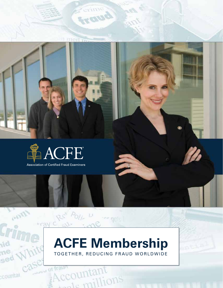

# **ACFE Membership** Toget her, Reducing Fraud Worldwide

vid

ne

sed

countai

**DOW OT fratter** 

raun<br>\ccountant

ccountant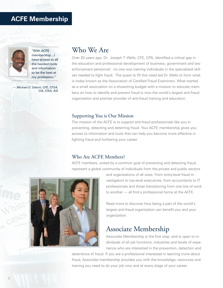## **ACFE Membership**



"With ACFE membership…I have access to all the needed tools and information to be the best at my profession."

*— Michael O. Sekoni, CFE, CFSA, CIA, CISA, AIS*

### Who We Are

Over 20 years ago, Dr. Joseph T. Wells, CFE, CPA, identified a critical gap in the education and professional development of business, government and law enforcement personnel: no one was training individuals in the specialized skill set needed to fight fraud. The quest to fill this need led Dr. Wells to form what is today known as the Association of Certified Fraud Examiners. What started as a small association on a shoestring budget with a mission to educate members on how to identify and prevent fraud is now the world's largest anti-fraud organization and premier provider of anti-fraud training and education.

#### Supporting You is Our Mission

The mission of the ACFE is to support anti-fraud professionals like you in preventing, detecting and deterring fraud. Your ACFE membership gives you access to information and tools that can help you become more effective in fighting fraud and furthering your career.

#### Who Are ACFE Members?

ACFE members, united by a common goal of preventing and detecting fraud, represent a global community of individuals from the private and public sectors



and organizations of all sizes. From entry-level fraud investigators to top-level executives, from accountants to IT professionals and those transitioning from one line of work to another — all find a professional home at the ACFE.

Read more to discover how being a part of the world's largest anti-fraud organization can benefit you and your organization.

### Associate Membership

Associate Membership is the first step, and is open to individuals of all job functions, industries and levels of experience who are interested in the prevention, detection and

deterrence of fraud. If you are a professional interested in learning more about fraud, Associate membership provides you with the knowledge, resources and training you need to do your job now and at every stage of your career.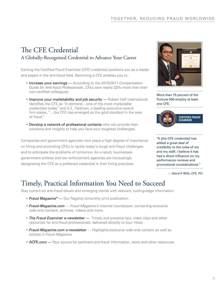## The CFE Credential A Globally-Recognized Credential to Advance Your Career

Earning the Certified Fraud Examiner (CFE) credential positions you as a leader and expert in the anti-fraud field. Becoming a CFE enables you to:

- • Increase your earnings According to the *2010/2011 Compensation Guide for Anti-fraud Professionals*, CFEs earn nearly 22% more than their non-certified colleagues.
- Improve your marketability and job security Robert Half International identifies the CFE as "in-demand…one of the most marketable credentials today" and A.E. Feldman, a leading executive search firm states, "…the CFE has emerged as the gold standard in the area of fraud."
- Develop a network of professional contacts who can provide their solutions and insights to help you face your toughest challenges.

Companies and government agencies now place a high degree of importance on hiring and promoting CFEs to tackle today's tough anti-fraud challenges and to anticipate the problems of tomorrow. As a result, businesses, government entities and law enforcement agencies are increasingly designating the CFE as a preferred credential in their hiring practices.



More than 75 percent of the Fortune 500 employ at least one CFE.



"It [the CFE credential] has added a great deal of credibility to the roles of me and my staff. I believe it has had a direct influence on my performance reviews and promotional considerations."

*— David P. Mills, CFE, PCI*

# Timely, Practical Information You Need to Succeed

Stay current on anti-fraud issues and emerging trends with relevant, cutting-edge information:

- *Fraud Magazine***<sup>®</sup>** Our flagship bimonthly print publication.
- • *Fraud-Magazine.com Fraud Magazine's* Internet counterpart, containing exclusive web-only content, archives, videos and more.
- **The Fraud Examiner e-newsletter** Timely and practical tips, video clips and other resources for anti-fraud professionals, delivered directly to your inbox.
- **Fraud-Magazine.com e-newsletter** Highlights exclusive web-only content as well as articles in *Fraud Magazine.*
- **ACFE.com** Your source for pertinent anti-fraud information, news and other resources.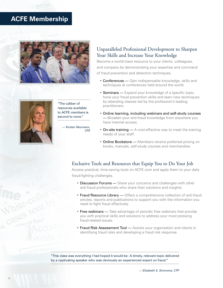## **ACFE Membership**





"The caliber of resources available to ACFE members is second to none."

> *— Kirsten Neumann, CFE*

### Unparalleled Professional Development to Sharpen Your Skills and Increase Your Knowledge

Become a world-class resource to your clients, colleagues, and company by demonstrating your expertise and command of fraud prevention and detection techniques.

- Conferences Gain indispensable knowledge, skills and techniques at conferences held around the world.
- **Seminars** Expand your knowledge of a specific topic, hone your fraud prevention skills and learn new techniques by attending classes led by the profession's leading practitioners.
- • Online learning, including webinars and self-study courses — Broaden your anti-fraud knowledge from anywhere you have Internet access.
- On-site training  $-$  A cost-effective way to meet the training needs of your staff.
- Online Bookstore Members receive preferred pricing on books, manuals, self-study courses and merchandise.

### Exclusive Tools and Resources that Equip You to Do Your Job

Access practical, time-saving tools on ACFE.com and apply them to your daily fraud-fighting challenges.

- Discussion Forums Share your concerns and challenges with other anti-fraud professionals who share their solutions and insights.
- Fraud Resource Library Offers a comprehensive collection of anti-fraud articles, reports and publications to support you with the information you need to fight fraud effectively.
- Free webinars Take advantage of periodic free webinars that provide you with practical skills and solutions to address your most pressing fraud-related issues.
- Fraud Risk Assessment Tool Assists your organization and clients in identifying fraud risks and developing a fraud risk response.

"This class was everything I had hoped it would be: A timely, relevant topic delivered by a captivating speaker who was obviously an experienced expert on fraud."

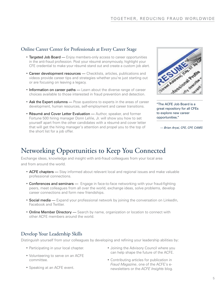### Online Career Center for Professionals at Every Career Stage

- Targeted Job Board Enjoy members-only access to career opportunities in the anti-fraud profession. Post your résumé anonymously, highlight your CFE credential to make your résumé stand out and create a custom job alert.
- Career development resources Checklists, articles, publications and videos provide career tips and strategies whether you're just starting out or are focusing on leaving a legacy.
- $\bullet$  Information on career paths  $-$  Learn about the diverse range of career choices available to those interested in fraud prevention and detection.
- Ask the Expert columns Pose questions to experts in the areas of career development, human resources, self-employment and career transitions.
- Résumé and Cover Letter Evaluation Author, speaker, and former Fortune 500 hiring manager Donn LeVie, Jr. will show you how to set yourself apart from the other candidates with a résumé and cover letter that will get the hiring manager's attention and propel you to the top of the short list for a job offer.



"The ACFE Job Board is a great repository for all CFEs to explore new career opportunities."

*— Brian Aryai, CFE, CFF, CAMS*

# Networking Opportunities to Keep You Connected

Exchange ideas, knowledge and insight with anti-fraud colleagues from your local area and from around the world.

- **ACFE chapters** Stay informed about relevant local and regional issues and make valuable professional connections.
- Conferences and seminars Engage in face-to-face networking with your fraud-fighting peers, meet colleagues from all over the world, exchange ideas, solve problems, develop career connections and form new friendships.
- **Social media** Expand your professional network by joining the conversation on LinkedIn, Facebook and Twitter.
- Online Member Directory Search by name, organization or location to connect with other ACFE members around the world.

### Develop Your Leadership Skills

Distinguish yourself from your colleagues by developing and refining your leadership abilities by:

- Participating in your local chapter.
- Volunteering to serve on an ACFE committee.
- Speaking at an ACFE event.
- Joining the Advisory Council where you can help shape the future of the ACFE.
- • Contributing articles for publication in *Fraud Magazine*, one of the ACFE's enewsletters or the *ACFE Insights* blog.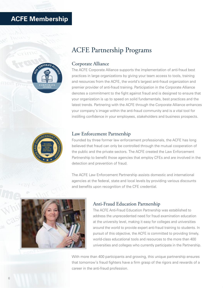# **ACFE Membership**



# ACFE Partnership Programs

### Corporate Alliance

The ACFE Corporate Alliance supports the implementation of anti-fraud best practices in large organizations by giving your team access to tools, training and resources from the ACFE, the world's largest anti-fraud organization and premier provider of anti-fraud training. Participation in the Corporate Alliance denotes a commitment to the fight against fraud and is designed to ensure that your organization is up to speed on solid fundamentals, best practices and the latest trends. Partnering with the ACFE through the Corporate Alliance enhances your company's image within the anti-fraud community and is a vital tool for instilling confidence in your employees, stakeholders and business prospects.



### Law Enforcement Partnership

Founded by three former law enforcement professionals, the ACFE has long believed that fraud can only be controlled through the mutual cooperation of the public and the private sectors. The ACFE created the Law Enforcement Partnership to benefit those agencies that employ CFEs and are involved in the detection and prevention of fraud.

The ACFE Law Enforcement Partnership assists domestic and international agencies at the federal, state and local levels by providing various discounts and benefits upon recognition of the CFE credential.



#### Anti-Fraud Education Partnership

The ACFE Anti-Fraud Education Partnership was established to address the unprecedented need for fraud examination education at the university level, making it easy for colleges and universities around the world to provide expert anti-fraud training to students. In pursuit of this objective, the ACFE is committed to providing timely, world-class educational tools and resources to the more than 400 universities and colleges who currently participate in the Partnership.

With more than 400 participants and growing, this unique partnership ensures that tomorrow's fraud fighters have a firm grasp of the rigors and rewards of a career in the anti-fraud profession.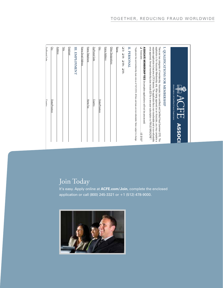|               | <b>Zin Postal Code</b><br>Country<br>State/Province                                                                                                                                                                                                                                                                                                                                                                                          | <b>Qity</b> |
|---------------|----------------------------------------------------------------------------------------------------------------------------------------------------------------------------------------------------------------------------------------------------------------------------------------------------------------------------------------------------------------------------------------------------------------------------------------------|-------------|
|               | <b>Address</b>                                                                                                                                                                                                                                                                                                                                                                                                                               |             |
|               | Employer                                                                                                                                                                                                                                                                                                                                                                                                                                     | 턃           |
|               | <b>III. EMPLOYMENT</b>                                                                                                                                                                                                                                                                                                                                                                                                                       |             |
|               | Home Email Address                                                                                                                                                                                                                                                                                                                                                                                                                           |             |
|               | Home Telephone<br>Home Fax                                                                                                                                                                                                                                                                                                                                                                                                                   |             |
|               | Zip/Postal Code<br>Country                                                                                                                                                                                                                                                                                                                                                                                                                   |             |
|               | State/Province                                                                                                                                                                                                                                                                                                                                                                                                                               | City        |
|               | <u>Home</u> Address                                                                                                                                                                                                                                                                                                                                                                                                                          |             |
|               | Other Designations                                                                                                                                                                                                                                                                                                                                                                                                                           |             |
|               | Name                                                                                                                                                                                                                                                                                                                                                                                                                                         |             |
|               | Dr. D Mr. D Mrs. D Ms.                                                                                                                                                                                                                                                                                                                                                                                                                       |             |
|               | II. PERSONAL                                                                                                                                                                                                                                                                                                                                                                                                                                 |             |
|               | *Application fee and membership dues rate as of 10/1/2010. All fees and dues are non-refundable. Rates subject to change                                                                                                                                                                                                                                                                                                                     |             |
| $-0.0183150*$ | Associate<br>ASSOCIATE MEMBERSHIP FEES (incomplete applications will not be processed)                                                                                                                                                                                                                                                                                                                                                       |             |
|               | once approved. Annual membership dues include \$20 for a one-year subscription to FRAUD MAGAZINE®.<br>separate application to become a CFE if desired. The application fee is non-transferable and is non-refundable<br>application is for Associate Membership only. After being approved as an Associate, you may complete a<br>There are two categories of membership: Associate (non-certified) and Certified Fraud Examiner (CFE). This |             |
|               | I. QUALIFICATIONS FOR MEMBERSHIP                                                                                                                                                                                                                                                                                                                                                                                                             |             |
| <b>ASSOC</b>  | Association of Certified Fraud Examiners                                                                                                                                                                                                                                                                                                                                                                                                     |             |
|               |                                                                                                                                                                                                                                                                                                                                                                                                                                              |             |

# Join Today

❑

Government

❑

Government/Law Enforcement

**Enroll me in Automatic Dues Renewal and discount my membership 10% (selection required):** Charge my Check<br>Card charged in US<br>Card charged in US Cardholder Name (as shown on card, please print) **V**<br>VIII.<br>Job It's easy. Apply online at **ACFE.com/Join**, complete the enclosed application or call (800) 245-3321 or +1 (512) 478-9000.